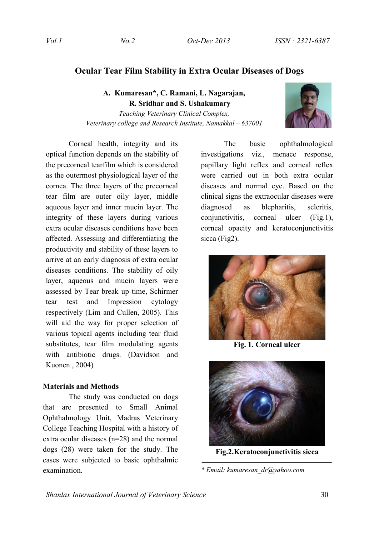# **Ocular Tear Film Stability in Extra Ocular Diseases of Dogs**

**A. Kumaresan\*, C. Ramani, L. Nagarajan, R. Sridhar and S. Ushakumary**

*Teaching Veterinary Clinical Complex, Veterinary college and Research Institute, Namakkal – 637001*

Corneal health, integrity and its optical function depends on the stability of the precorneal tearfilm which is considered as the outermost physiological layer of the cornea. The three layers of the precorneal tear film are outer oily layer, middle aqueous layer and inner mucin layer. The integrity of these layers during various extra ocular diseases conditions have been affected. Assessing and differentiating the productivity and stability of these layers to arrive at an early diagnosis of extra ocular diseases conditions. The stability of oily layer, aqueous and mucin layers were assessed by Tear break up time, Schirmer tear test and Impression cytology respectively (Lim and Cullen, 2005). This will aid the way for proper selection of various topical agents including tear fluid substitutes, tear film modulating agents with antibiotic drugs. (Davidson and Kuonen , 2004)

# **Materials and Methods**

The study was conducted on dogs that are presented to Small Animal Ophthalmology Unit, Madras Veterinary College Teaching Hospital with a history of extra ocular diseases (n=28) and the normal dogs (28) were taken for the study. The cases were subjected to basic ophthalmic examination.

The basic ophthalmological investigations viz., menace response, papillary light reflex and corneal reflex were carried out in both extra ocular diseases and normal eye. Based on the clinical signs the extraocular diseases were diagnosed as blepharitis, scleritis, conjunctivitis, corneal ulcer (Fig.1), corneal opacity and keratoconjunctivitis sicca (Fig2).



**Fig. 1. Corneal ulcer** 



**Fig.2.Keratoconjunctivitis sicca**

*\* Email: kumaresan\_dr@yahoo.com*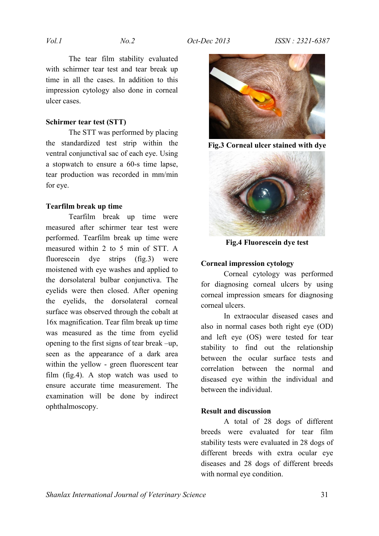The tear film stability evaluated with schirmer tear test and tear break up time in all the cases. In addition to this impression cytology also done in corneal ulcer cases.

# **Schirmer tear test (STT)**

The STT was performed by placing the standardized test strip within the ventral conjunctival sac of each eye. Using a stopwatch to ensure a 60-s time lapse, tear production was recorded in mm/min for eye.

### **Tearfilm break up time**

Tearfilm break up time were measured after schirmer tear test were performed. Tearfilm break up time were measured within 2 to 5 min of STT. A fluorescein dye strips (fig.3) were moistened with eye washes and applied to the dorsolateral bulbar conjunctiva. The eyelids were then closed. After opening the eyelids, the dorsolateral corneal surface was observed through the cobalt at 16x magnification. Tear film break up time was measured as the time from eyelid opening to the first signs of tear break –up, seen as the appearance of a dark area within the yellow - green fluorescent tear film (fig.4). A stop watch was used to ensure accurate time measurement. The examination will be done by indirect ophthalmoscopy.



**Fig.3 Corneal ulcer stained with dye**



**Fig.4 Fluorescein dye test**

### **Corneal impression cytology**

Corneal cytology was performed for diagnosing corneal ulcers by using corneal impression smears for diagnosing corneal ulcers.

In extraocular diseased cases and also in normal cases both right eye (OD) and left eye (OS) were tested for tear stability to find out the relationship between the ocular surface tests and correlation between the normal and diseased eye within the individual and between the individual.

#### **Result and discussion**

A total of 28 dogs of different breeds were evaluated for tear film stability tests were evaluated in 28 dogs of different breeds with extra ocular eye diseases and 28 dogs of different breeds with normal eye condition.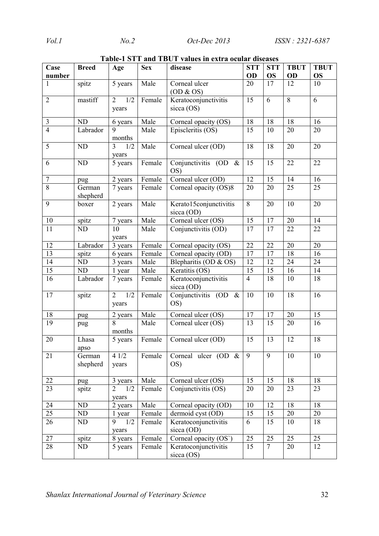| Case            | <b>Breed</b>       | Age                            | <b>Sex</b> | disease                              |                | <b>STT</b>      | <b>TBUT</b> | <b>TBUT</b> |
|-----------------|--------------------|--------------------------------|------------|--------------------------------------|----------------|-----------------|-------------|-------------|
| number          |                    |                                |            |                                      | OD             | <b>OS</b>       | OD          | <b>OS</b>   |
| 1               | spitz              | 5 years                        | Male       | Corneal ulcer<br>OD & 0S             | 20             | 17              | 12          | 10          |
| $\overline{2}$  | mastiff            | 1/2<br>$\overline{2}$<br>years | Female     | Keratoconjunctivitis<br>sicca (OS)   | 15             | 6               | 8           | 6           |
| 3               | <b>ND</b>          | 6 years                        | Male       | Corneal opacity (OS)                 | 18             | 18              | 18          | 16          |
| $\overline{4}$  | Labrador           | $\overline{9}$<br>months       | Male       | Episcleritis (OS)                    | 15             | 10              | 20          | 20          |
| 5               | ND                 | $\overline{3}$<br>1/2<br>years | Male       | Corneal ulcer (OD)                   | 18             | 18              | 20          | 20          |
| 6               | ND                 | 5 years                        | Female     | Conjunctivitis (OD &<br>OS)          | 15             | 15              | 22          | 22          |
| $\tau$          | pug                | 2 years                        | Female     | Corneal ulcer (OD)                   | 12             | 15              | 14          | 16          |
| $\overline{8}$  | German<br>shepherd | 7 years                        | Female     | Corneal opacity (OS)8                | 20             | 20              | 25          | 25          |
| 9               | boxer              | 2 years                        | Male       | Kerato15conjunctivitis<br>sicca (OD) | 8              | 20              | 10          | 20          |
| $10\,$          | spitz              | 7 years                        | Male       | Corneal ulcer (OS)                   | 15             | 17              | 20          | 14          |
| 11              | ND                 | 10<br>years                    | Male       | Conjunctivitis (OD)                  | 17             | 17              | 22          | 22          |
| 12              | Labrador           | 3 years                        | Female     | Corneal opacity (OS)                 | 22             | $\overline{22}$ | 20          | 20          |
| 13              | spitz              | 6 years                        | Female     | Corneal opacity (OD)                 | 17             | 17              | 18          | 16          |
| 14              | ND                 | 3 years                        | Male       | Blepharitis (OD & OS)                | 12             | 12              | 24          | 24          |
| 15              | ND                 | 1 year                         | Male       | Keratitis (OS)                       | 15             | 15              | 16          | 14          |
| 16              | Labrador           | 7 years                        | Female     | Keratoconjunctivitis<br>sicca (OD)   | $\overline{4}$ | 18              | 10          | 18          |
| 17              | spitz              | 1/2<br>$\overline{2}$<br>years | Female     | Conjunctivitis (OD &<br>OS)          | 10             | 10              | 18          | 16          |
| 18              | pug                | 2 years                        | Male       | Corneal ulcer (OS)                   | 17             | 17              | 20          | 15          |
| 19              | pug                | 8<br>months                    | Male       | Corneal ulcer (OS)                   | 13             | 15              | 20          | 16          |
| 20              | Lhasa<br>apso      | 5 years                        | Female     | Corneal ulcer (OD)                   | 15             | 13              | 12          | 18          |
| 21              | German<br>shepherd | 41/2<br>years                  | Female     | Corneal ulcer (OD $\&$<br>OS)        | 9              | 9               | 10          | 10          |
| 22              | pug                | 3 years                        | Male       | Corneal ulcer (OS)                   | 15             | 15              | 18          | 18          |
| $\overline{23}$ | spitz              | $\overline{2}$<br>1/2<br>years | Female     | Conjunctivitis (OS)                  | 20             | 20              | 23          | 23          |
| 24              | ND                 | 2 years                        | Male       | Corneal opacity (OD)                 | 10             | 12              | 18          | 18          |
| $\overline{25}$ | ND                 | 1 year                         | Female     | dermoid cyst (OD)                    | 15             | 15              | 20          | 20          |
| $\overline{26}$ | ND                 | 1/2<br>9<br>years              | Female     | Keratoconjunctivitis<br>sicca (OD)   | 6              | 15              | 10          | 18          |
| 27              | spitz              | 8 years                        | Female     | Corneal opacity (OS`)                | 25             | 25              | 25          | 25          |
| $\overline{28}$ | ND                 | 5 years                        | Female     | Keratoconjunctivitis<br>sicca $(OS)$ | 15             | $\tau$          | 20          | 12          |

**Table-1 STT and TBUT values in extra ocular diseases**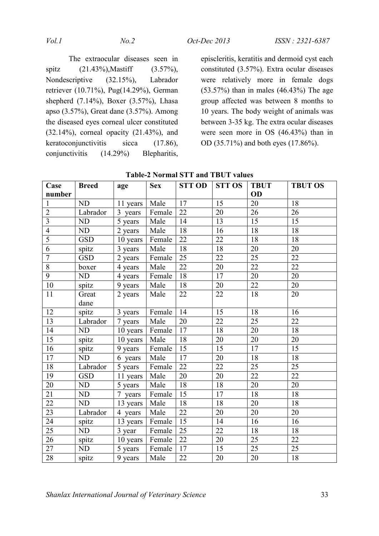The extraocular diseases seen in spitz (21.43%),Mastiff (3.57%), Nondescriptive (32.15%), Labrador retriever (10.71%), Pug(14.29%), German shepherd (7.14%), Boxer (3.57%), Lhasa apso (3.57%), Great dane (3.57%). Among the diseased eyes corneal ulcer constituted (32.14%), corneal opacity (21.43%), and keratoconjunctivitis sicca (17.86), conjunctivitis (14.29%) Blepharitis,

episcleritis, keratitis and dermoid cyst each constituted (3.57%). Extra ocular diseases were relatively more in female dogs (53.57%) than in males (46.43%) The age group affected was between 8 months to 10 years. The body weight of animals was between 3-35 kg. The extra ocular diseases were seen more in OS (46.43%) than in OD (35.71%) and both eyes (17.86%).

| Case            | <b>Breed</b> | age      | <b>Sex</b> | <b>STT OD</b>   | <b>STT OS</b>   | <b>TBUT</b>     | <b>TBUT OS</b>  |
|-----------------|--------------|----------|------------|-----------------|-----------------|-----------------|-----------------|
| number          |              |          |            |                 |                 | OD              |                 |
| $\mathbf{1}$    | ND           | 11 years | Male       | 17              | 15              | 20              | 18              |
| $\overline{2}$  | Labrador     | 3 years  | Female     | 22              | 20              | 26              | 26              |
| $\overline{3}$  | ND           | 5 years  | Male       | 14              | 13              | 15              | 15              |
| $\overline{4}$  | ND           | 2 years  | Male       | 18              | 16              | 18              | 18              |
| $\overline{5}$  | <b>GSD</b>   | 10 years | Female     | 22              | 22              | 18              | 18              |
| $\overline{6}$  | spitz        | 3 years  | Male       | $\overline{18}$ | 18              | 20              | 20              |
| $\overline{7}$  | <b>GSD</b>   | 2 years  | Female     | 25              | 22              | 25              | 22              |
| $\sqrt{8}$      | boxer        | 4 years  | Male       | $\overline{22}$ | $\overline{20}$ | 22              | $\overline{22}$ |
| $\overline{9}$  | ND           | 4 years  | Female     | 18              | 17              | 20              | 20              |
| 10              | spitz        | 9 years  | Male       | 18              | 20              | 22              | 20              |
| 11              | Great        | 2 years  | Male       | $22\,$          | $\overline{22}$ | 18              | 20              |
|                 | dane         |          |            |                 |                 |                 |                 |
| 12              | spitz        | 3 years  | Female     | 14              | $\overline{15}$ | $\overline{18}$ | 16              |
| 13              | Labrador     | 7 years  | Male       | 20              | 22              | 25              | 22              |
| 14              | ND           | 10 years | Female     | 17              | 18              | 20              | 18              |
| $\overline{15}$ | spitz        | 10 years | Male       | 18              | 20              | 20              | 20              |
| $\overline{16}$ | spitz        | 9 years  | Female     | 15              | $\overline{15}$ | $\overline{17}$ | 15              |
| 17              | ND           | 6 years  | Male       | 17              | 20              | 18              | 18              |
| 18              | Labrador     | 5 years  | Female     | 22              | 22              | 25              | 25              |
| $\overline{19}$ | <b>GSD</b>   | 11 years | Male       | 20              | 20              | $\overline{22}$ | $\overline{22}$ |
| 20              | ND           | 5 years  | Male       | $\overline{18}$ | 18              | $\overline{20}$ | $\overline{20}$ |
| 21              | ND           | 7 years  | Female     | 15              | 17              | 18              | 18              |
| 22              | ND           | 13 years | Male       | 18              | 18              | 20              | 18              |
| 23              | Labrador     | 4 years  | Male       | $22\,$          | 20              | $20\,$          | 20              |
| 24              | spitz        | 13 years | Female     | 15              | 14              | 16              | 16              |
| 25              | ND           | 3 year   | Female     | 25              | 22              | 18              | 18              |
| 26              | spitz        | 10 years | Female     | 22              | 20              | 25              | 22              |
| $\overline{27}$ | ND           | 5 years  | Female     | 17              | $\overline{15}$ | $\overline{25}$ | $\overline{25}$ |
| $28\,$          | spitz        | 9 years  | Male       | 22              | 20              | 20              | 18              |

**Table-2 Normal STT and TBUT values**